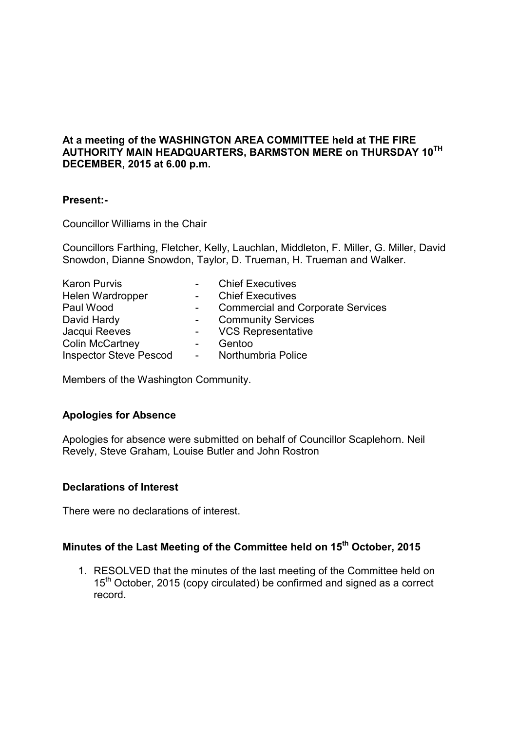# **At a meeting of the WASHINGTON AREA COMMITTEE held at THE FIRE AUTHORITY MAIN HEADQUARTERS, BARMSTON MERE on THURSDAY 10TH DECEMBER, 2015 at 6.00 p.m.**

### **Present:-**

Councillor Williams in the Chair

Councillors Farthing, Fletcher, Kelly, Lauchlan, Middleton, F. Miller, G. Miller, David Snowdon, Dianne Snowdon, Taylor, D. Trueman, H. Trueman and Walker.

| <b>Karon Purvis</b>           | $\blacksquare$                  | <b>Chief Executives</b>                  |
|-------------------------------|---------------------------------|------------------------------------------|
| Helen Wardropper              | $\sim$                          | <b>Chief Executives</b>                  |
| Paul Wood                     |                                 | <b>Commercial and Corporate Services</b> |
| David Hardy                   | $\sim$                          | <b>Community Services</b>                |
| Jacqui Reeves                 | $\frac{1}{2}$ and $\frac{1}{2}$ | <b>VCS Representative</b>                |
| <b>Colin McCartney</b>        | $\blacksquare$                  | Gentoo                                   |
| <b>Inspector Steve Pescod</b> | $\sim 100$                      | Northumbria Police                       |

Members of the Washington Community.

### **Apologies for Absence**

Apologies for absence were submitted on behalf of Councillor Scaplehorn. Neil Revely, Steve Graham, Louise Butler and John Rostron

### **Declarations of Interest**

There were no declarations of interest.

# **Minutes of the Last Meeting of the Committee held on 15th October, 2015**

1. RESOLVED that the minutes of the last meeting of the Committee held on 15<sup>th</sup> October, 2015 (copy circulated) be confirmed and signed as a correct record.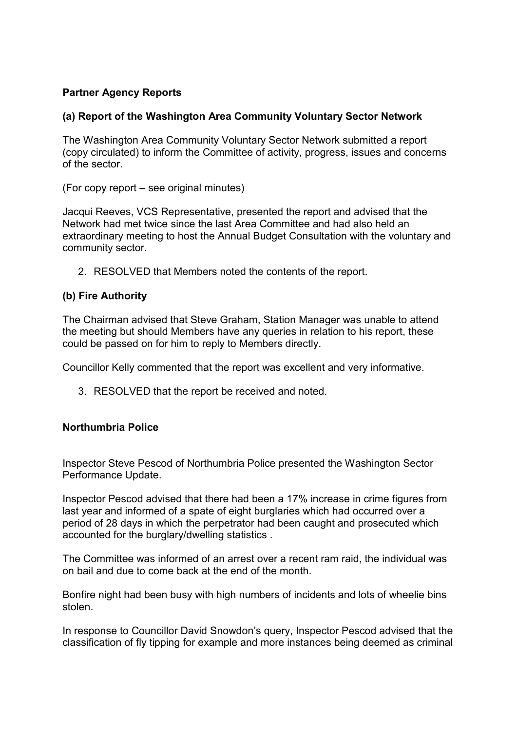# **Partner Agency Reports**

## **(a) Report of the Washington Area Community Voluntary Sector Network**

The Washington Area Community Voluntary Sector Network submitted a report (copy circulated) to inform the Committee of activity, progress, issues and concerns of the sector.

(For copy report – see original minutes)

Jacqui Reeves, VCS Representative, presented the report and advised that the Network had met twice since the last Area Committee and had also held an extraordinary meeting to host the Annual Budget Consultation with the voluntary and community sector.

2. RESOLVED that Members noted the contents of the report.

### **(b) Fire Authority**

The Chairman advised that Steve Graham, Station Manager was unable to attend the meeting but should Members have any queries in relation to his report, these could be passed on for him to reply to Members directly.

Councillor Kelly commented that the report was excellent and very informative.

3. RESOLVED that the report be received and noted.

### **Northumbria Police**

Inspector Steve Pescod of Northumbria Police presented the Washington Sector Performance Update.

Inspector Pescod advised that there had been a 17% increase in crime figures from last year and informed of a spate of eight burglaries which had occurred over a period of 28 days in which the perpetrator had been caught and prosecuted which accounted for the burglary/dwelling statistics .

The Committee was informed of an arrest over a recent ram raid, the individual was on bail and due to come back at the end of the month.

Bonfire night had been busy with high numbers of incidents and lots of wheelie bins stolen.

In response to Councillor David Snowdon's query, Inspector Pescod advised that the classification of fly tipping for example and more instances being deemed as criminal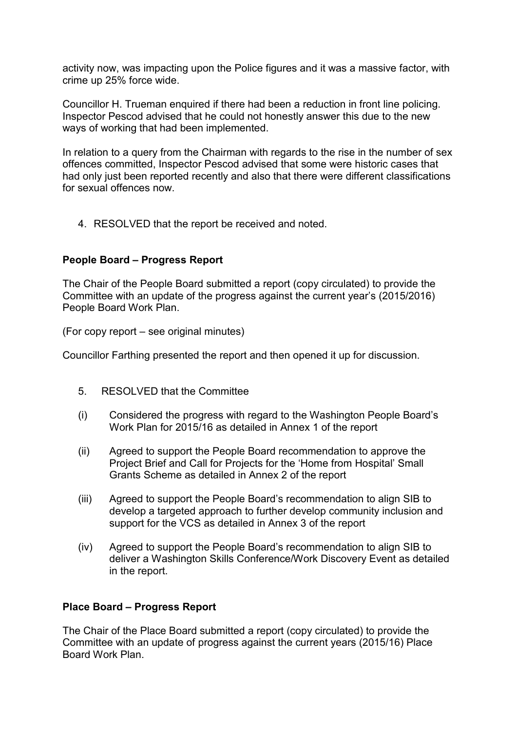activity now, was impacting upon the Police figures and it was a massive factor, with crime up 25% force wide.

Councillor H. Trueman enquired if there had been a reduction in front line policing. Inspector Pescod advised that he could not honestly answer this due to the new ways of working that had been implemented.

In relation to a query from the Chairman with regards to the rise in the number of sex offences committed, Inspector Pescod advised that some were historic cases that had only just been reported recently and also that there were different classifications for sexual offences now.

4. RESOLVED that the report be received and noted.

## **People Board – Progress Report**

The Chair of the People Board submitted a report (copy circulated) to provide the Committee with an update of the progress against the current year's (2015/2016) People Board Work Plan.

(For copy report – see original minutes)

Councillor Farthing presented the report and then opened it up for discussion.

- 5. RESOLVED that the Committee
- (i) Considered the progress with regard to the Washington People Board's Work Plan for 2015/16 as detailed in Annex 1 of the report
- (ii) Agreed to support the People Board recommendation to approve the Project Brief and Call for Projects for the 'Home from Hospital' Small Grants Scheme as detailed in Annex 2 of the report
- (iii) Agreed to support the People Board's recommendation to align SIB to develop a targeted approach to further develop community inclusion and support for the VCS as detailed in Annex 3 of the report
- (iv) Agreed to support the People Board's recommendation to align SIB to deliver a Washington Skills Conference/Work Discovery Event as detailed in the report.

### **Place Board – Progress Report**

The Chair of the Place Board submitted a report (copy circulated) to provide the Committee with an update of progress against the current years (2015/16) Place Board Work Plan.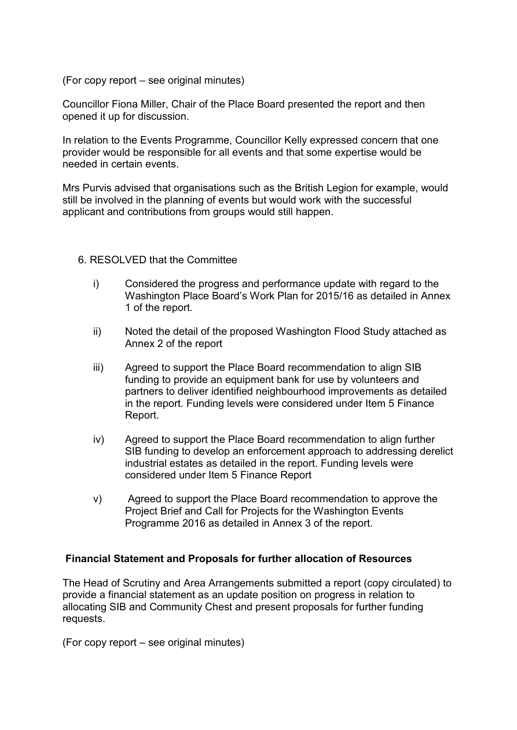(For copy report – see original minutes)

Councillor Fiona Miller, Chair of the Place Board presented the report and then opened it up for discussion.

In relation to the Events Programme, Councillor Kelly expressed concern that one provider would be responsible for all events and that some expertise would be needed in certain events.

Mrs Purvis advised that organisations such as the British Legion for example, would still be involved in the planning of events but would work with the successful applicant and contributions from groups would still happen.

#### 6. RESOLVED that the Committee

- i) Considered the progress and performance update with regard to the Washington Place Board's Work Plan for 2015/16 as detailed in Annex 1 of the report.
- ii) Noted the detail of the proposed Washington Flood Study attached as Annex 2 of the report
- iii) Agreed to support the Place Board recommendation to align SIB funding to provide an equipment bank for use by volunteers and partners to deliver identified neighbourhood improvements as detailed in the report. Funding levels were considered under Item 5 Finance Report.
- iv) Agreed to support the Place Board recommendation to align further SIB funding to develop an enforcement approach to addressing derelict industrial estates as detailed in the report. Funding levels were considered under Item 5 Finance Report
- v) Agreed to support the Place Board recommendation to approve the Project Brief and Call for Projects for the Washington Events Programme 2016 as detailed in Annex 3 of the report.

### **Financial Statement and Proposals for further allocation of Resources**

The Head of Scrutiny and Area Arrangements submitted a report (copy circulated) to provide a financial statement as an update position on progress in relation to allocating SIB and Community Chest and present proposals for further funding requests.

(For copy report – see original minutes)